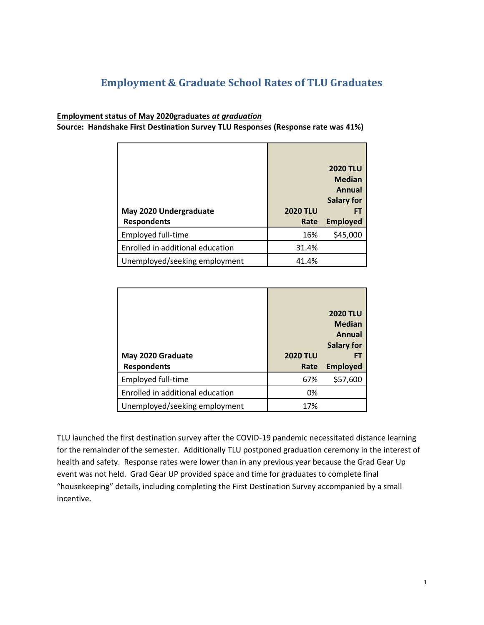## **Employment & Graduate School Rates of TLU Graduates**

## **Employment status of May 2020graduates** *at graduation*

**Source: Handshake First Destination Survey TLU Responses (Response rate was 41%)**

|                                  |                 | <b>2020 TLU</b><br><b>Median</b><br>Annual<br><b>Salary for</b> |
|----------------------------------|-----------------|-----------------------------------------------------------------|
| May 2020 Undergraduate           | <b>2020 TLU</b> | FТ                                                              |
| <b>Respondents</b>               | Rate            | <b>Employed</b>                                                 |
| Employed full-time               | 16%             | \$45,000                                                        |
| Enrolled in additional education | 31.4%           |                                                                 |
| Unemployed/seeking employment    | 41.4%           |                                                                 |

|                                  |                 | <b>2020 TLU</b><br><b>Median</b><br>Annual<br><b>Salary for</b> |
|----------------------------------|-----------------|-----------------------------------------------------------------|
| May 2020 Graduate                | <b>2020 TLU</b> |                                                                 |
| <b>Respondents</b>               | Rate            | <b>Employed</b>                                                 |
| Employed full-time               | 67%             | \$57,600                                                        |
| Enrolled in additional education | 0%              |                                                                 |
| Unemployed/seeking employment    | 17%             |                                                                 |

TLU launched the first destination survey after the COVID-19 pandemic necessitated distance learning for the remainder of the semester. Additionally TLU postponed graduation ceremony in the interest of health and safety. Response rates were lower than in any previous year because the Grad Gear Up event was not held. Grad Gear UP provided space and time for graduates to complete final "housekeeping" details, including completing the First Destination Survey accompanied by a small incentive.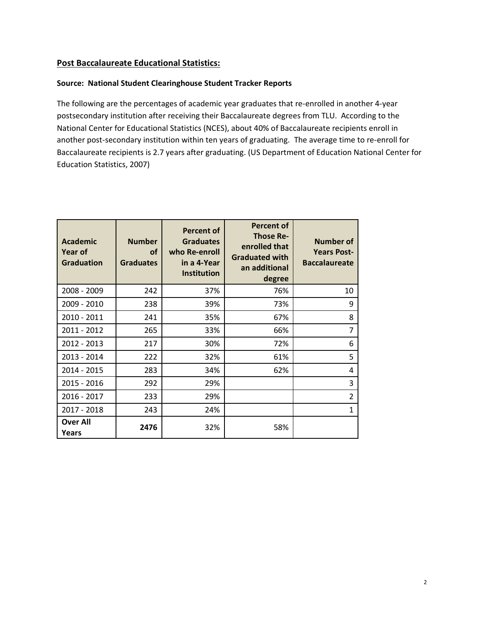## **Post Baccalaureate Educational Statistics:**

## **Source: National Student Clearinghouse Student Tracker Reports**

The following are the percentages of academic year graduates that re-enrolled in another 4-year postsecondary institution after receiving their Baccalaureate degrees from TLU. According to the National Center for Educational Statistics (NCES), about 40% of Baccalaureate recipients enroll in another post-secondary institution within ten years of graduating. The average time to re-enroll for Baccalaureate recipients is 2.7 years after graduating. (US Department of Education National Center for Education Statistics, 2007)

| <b>Academic</b><br><b>Year of</b><br><b>Graduation</b> | <b>Number</b><br>of<br><b>Graduates</b> | Percent of<br><b>Graduates</b><br>who Re-enroll<br>in a 4-Year<br><b>Institution</b> | <b>Percent of</b><br><b>Those Re-</b><br>enrolled that<br><b>Graduated with</b><br>an additional<br>degree | Number of<br><b>Years Post-</b><br><b>Baccalaureate</b> |
|--------------------------------------------------------|-----------------------------------------|--------------------------------------------------------------------------------------|------------------------------------------------------------------------------------------------------------|---------------------------------------------------------|
| 2008 - 2009                                            | 242                                     | 37%                                                                                  | 76%                                                                                                        | 10                                                      |
| 2009 - 2010                                            | 238                                     | 39%                                                                                  | 73%                                                                                                        | 9                                                       |
| 2010 - 2011                                            | 241                                     | 35%                                                                                  | 67%                                                                                                        | 8                                                       |
| 2011 - 2012                                            | 265                                     | 33%                                                                                  | 66%                                                                                                        | 7                                                       |
| 2012 - 2013                                            | 217                                     | 30%                                                                                  | 72%                                                                                                        | 6                                                       |
| 2013 - 2014                                            | 222                                     | 32%                                                                                  | 61%                                                                                                        | 5                                                       |
| 2014 - 2015                                            | 283                                     | 34%                                                                                  | 62%                                                                                                        | 4                                                       |
| 2015 - 2016                                            | 292                                     | 29%                                                                                  |                                                                                                            | 3                                                       |
| 2016 - 2017                                            | 233                                     | 29%                                                                                  |                                                                                                            | $\overline{2}$                                          |
| 2017 - 2018                                            | 243                                     | 24%                                                                                  |                                                                                                            | 1                                                       |
| <b>Over All</b><br>Years                               | 2476                                    | 32%                                                                                  | 58%                                                                                                        |                                                         |